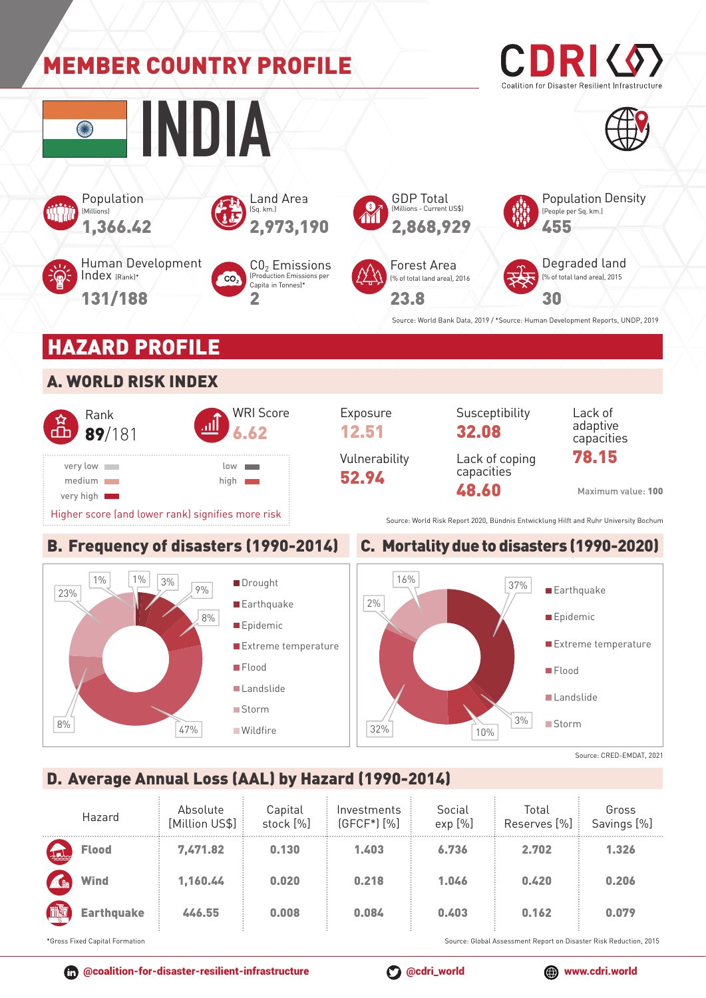

## D. Average Annual Loss (AAL) by Hazard (1990-2014)

|                                                                                                      | Hazard            | Absolute<br>[Million US\$] | Capital<br>stock [%] | Investments<br>$(GFCF*)$ $[\%]$ | Social<br>exp [%] | Total<br>Reserves [%] | Gross<br>Savings [%] |
|------------------------------------------------------------------------------------------------------|-------------------|----------------------------|----------------------|---------------------------------|-------------------|-----------------------|----------------------|
| Jul                                                                                                  | <b>Flood</b>      | 7,471.82                   | 0.130                | 1.403                           | 6.736             | 2.702                 | 1.326                |
| A                                                                                                    | <b>Wind</b>       | 1,160.44                   | 0.020                | 0.218                           | 1.046             | 0.420                 | 0.206                |
| 画                                                                                                    | <b>Earthquake</b> | 446.55                     | 0.008                | 0.084                           | 0.403             | 0.162                 | 0.079                |
| *Cross Fived Capital Fermation<br>Course, Clobal Association Depart on Disaster Disk Deduction, 2015 |                   |                            |                      |                                 |                   |                       |                      |

ss Fixed Capital Formation